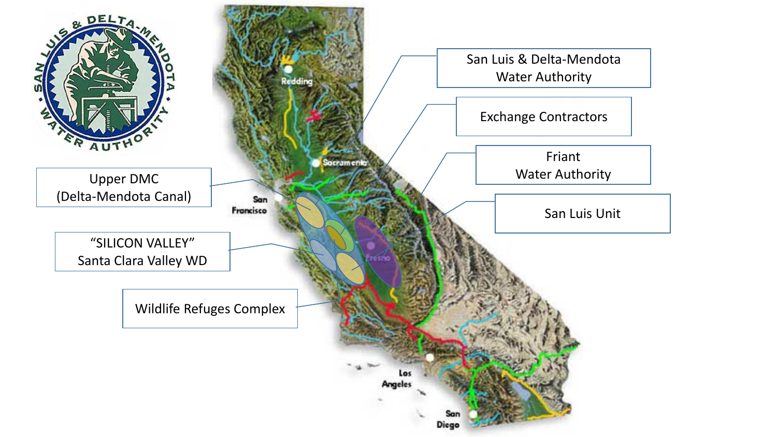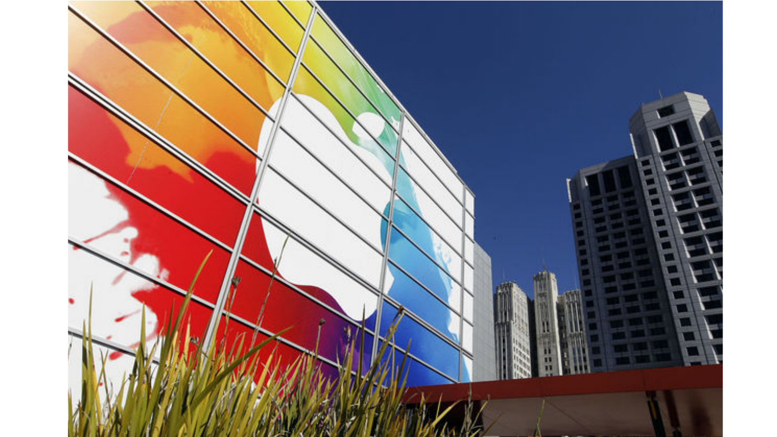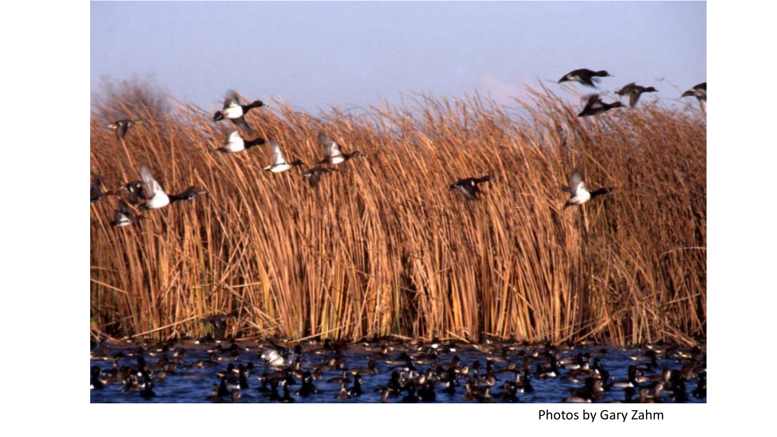

Photos by Gary Zahm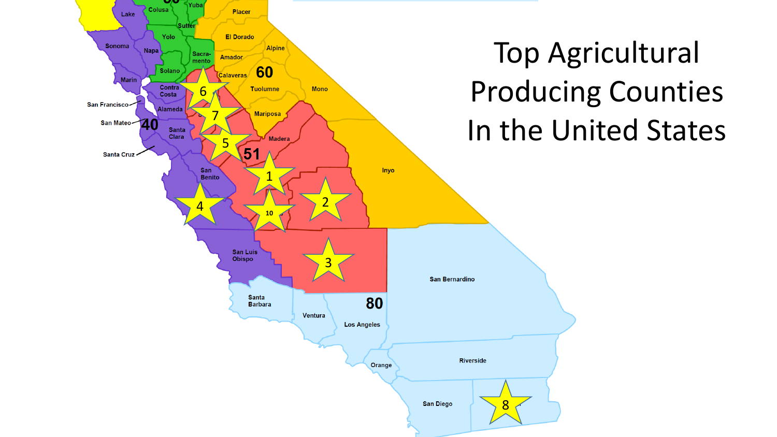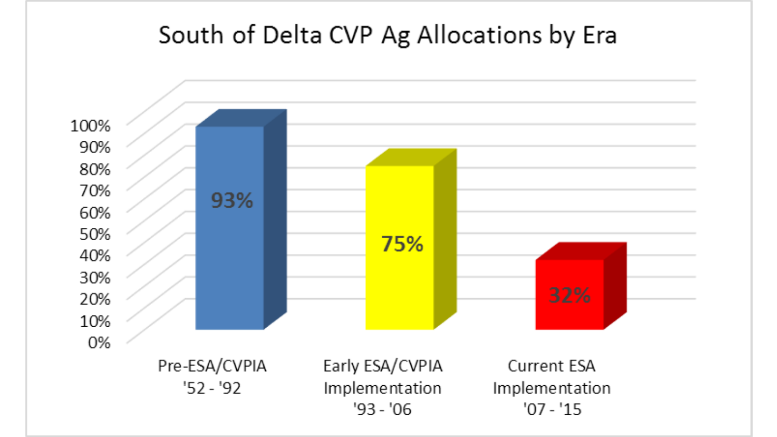## South of Delta CVP Ag Allocations by Era

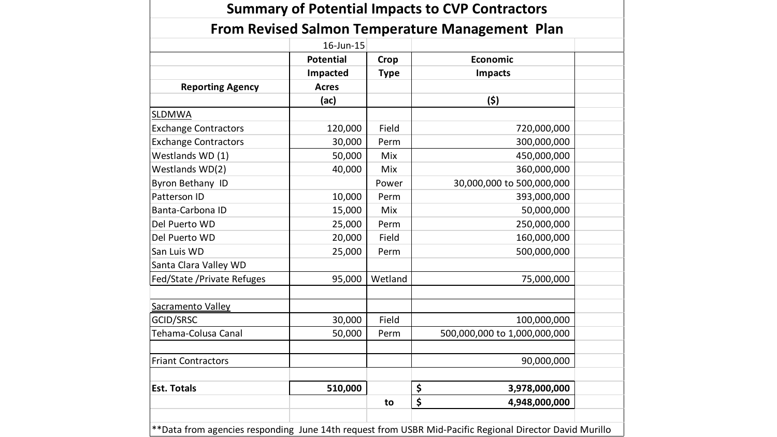|                             |                  |             | <b>From Revised Salmon Temperature Management Plan</b> |
|-----------------------------|------------------|-------------|--------------------------------------------------------|
|                             | 16-Jun-15        |             |                                                        |
|                             | <b>Potential</b> | Crop        | <b>Economic</b>                                        |
|                             | Impacted         | <b>Type</b> | <b>Impacts</b>                                         |
| <b>Reporting Agency</b>     | <b>Acres</b>     |             |                                                        |
|                             | (ac)             |             | (\$)                                                   |
| <b>SLDMWA</b>               |                  |             |                                                        |
| <b>Exchange Contractors</b> | 120,000          | Field       | 720,000,000                                            |
| <b>Exchange Contractors</b> | 30,000           | Perm        | 300,000,000                                            |
| Westlands WD (1)            | 50,000           | Mix         | 450,000,000                                            |
| Westlands WD(2)             | 40,000           | <b>Mix</b>  | 360,000,000                                            |
| Byron Bethany ID            |                  | Power       | 30,000,000 to 500,000,000                              |
| Patterson ID                | 10,000           | Perm        | 393,000,000                                            |
| Banta-Carbona ID            | 15,000           | <b>Mix</b>  | 50,000,000                                             |
| Del Puerto WD               | 25,000           | Perm        | 250,000,000                                            |
| Del Puerto WD               | 20,000           | Field       | 160,000,000                                            |
| San Luis WD                 | 25,000           | Perm        | 500,000,000                                            |
| Santa Clara Valley WD       |                  |             |                                                        |
| Fed/State / Private Refuges | 95,000           | Wetland     | 75,000,000                                             |
| Sacramento Valley           |                  |             |                                                        |
| GCID/SRSC                   | 30,000           | Field       | 100,000,000                                            |
| Tehama-Colusa Canal         | 50,000           | Perm        | 500,000,000 to 1,000,000,000                           |
| <b>Friant Contractors</b>   |                  |             | 90,000,000                                             |
| <b>Est. Totals</b>          | 510,000          |             | \$<br>3,978,000,000                                    |
|                             |                  | to          | \$<br>4,948,000,000                                    |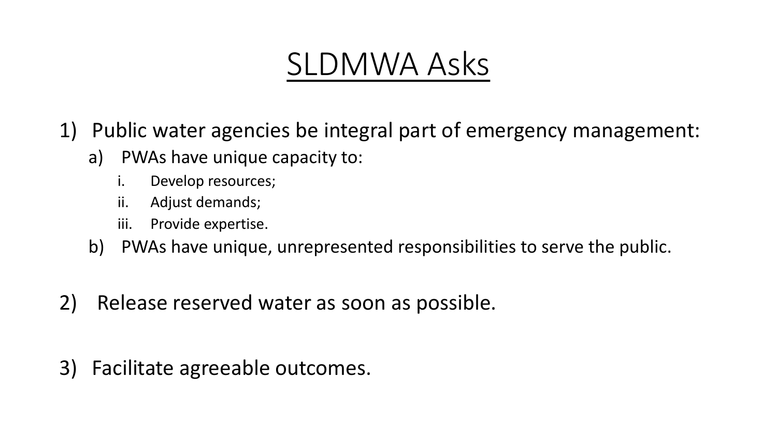## SLDMWA Asks

- 1) Public water agencies be integral part of emergency management:
	- a) PWAs have unique capacity to:
		- i. Develop resources;
		- ii. Adjust demands;
		- iii. Provide expertise.
	- b) PWAs have unique, unrepresented responsibilities to serve the public.
- 2) Release reserved water as soon as possible.
- 3) Facilitate agreeable outcomes.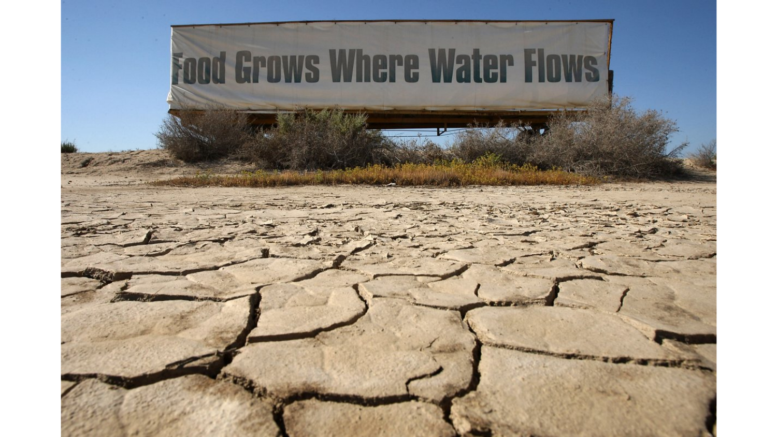